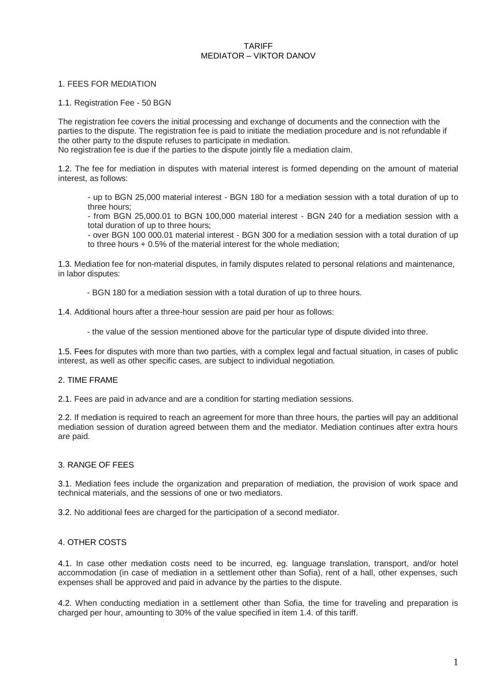#### TARIFF MEDIATOR – VIKTOR DANOV

#### 1. FEES FOR MEDIATION

1.1. Registration Fee - 50 BGN

The registration fee covers the initial processing and exchange of documents and the connection with the parties to the dispute. The registration fee is paid to initiate the mediation procedure and is not refundable if the other party to the dispute refuses to participate in mediation. No registration fee is due if the parties to the dispute jointly file a mediation claim.

1.2. The fee for mediation in disputes with material interest is formed depending on the amount of material interest, as follows:

- up to BGN 25,000 material interest - BGN 180 for a mediation session with a total duration of up to three hours;

- from BGN 25,000.01 to BGN 100,000 material interest - BGN 240 for a mediation session with a total duration of up to three hours;

- over BGN 100 000.01 material interest - BGN 300 for a mediation session with a total duration of up to three hours + 0.5% of the material interest for the whole mediation;

1.3. Mediation fee for non-material disputes, in family disputes related to personal relations and maintenance, in labor disputes:

- BGN 180 for a mediation session with a total duration of up to three hours.

1.4. Additional hours after a three-hour session are paid per hour as follows:

- the value of the session mentioned above for the particular type of dispute divided into three.

1.5. Fees for disputes with more than two parties, with a complex legal and factual situation, in cases of public interest, as well as other specific cases, are subject to individual negotiation.

### 2. TIME FRAME

2.1. Fees are paid in advance and are a condition for starting mediation sessions.

2.2. If mediation is required to reach an agreement for more than three hours, the parties will pay an additional mediation session of duration agreed between them and the mediator. Mediation continues after extra hours are paid.

# 3. RANGE OF FEES

3.1. Mediation fees include the organization and preparation of mediation, the provision of work space and technical materials, and the sessions of one or two mediators.

3.2. No additional fees are charged for the participation of a second mediator.

### 4. OTHER COSTS

4.1. In case other mediation costs need to be incurred, eg. language translation, transport, and/or hotel accommodation (in case of mediation in a settlement other than Sofia), rent of a hall, other expenses, such expenses shall be approved and paid in advance by the parties to the dispute.

4.2. When conducting mediation in a settlement other than Sofia, the time for traveling and preparation is charged per hour, amounting to 30% of the value specified in item 1.4. of this tariff.